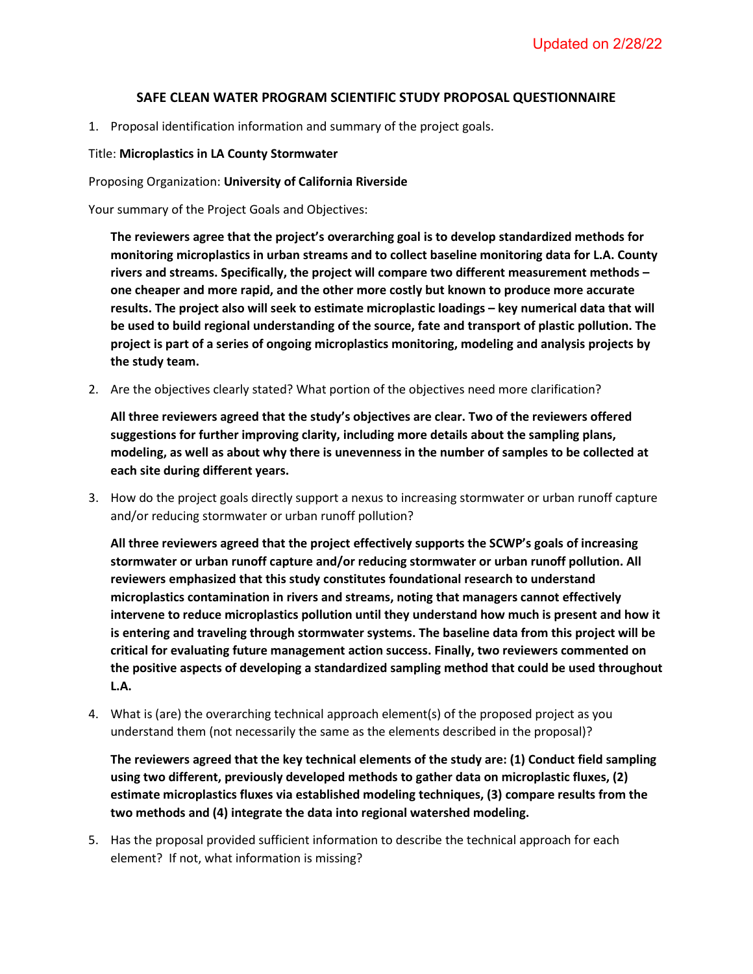## **SAFE CLEAN WATER PROGRAM SCIENTIFIC STUDY PROPOSAL QUESTIONNAIRE**

1. Proposal identification information and summary of the project goals.

## Title: **Microplastics in LA County Stormwater**

## Proposing Organization: **University of California Riverside**

Your summary of the Project Goals and Objectives:

**The reviewers agree that the project's overarching goal is to develop standardized methods for monitoring microplastics in urban streams and to collect baseline monitoring data for L.A. County rivers and streams. Specifically, the project will compare two different measurement methods – one cheaper and more rapid, and the other more costly but known to produce more accurate results. The project also will seek to estimate microplastic loadings – key numerical data that will be used to build regional understanding of the source, fate and transport of plastic pollution. The project is part of a series of ongoing microplastics monitoring, modeling and analysis projects by the study team.** 

2. Are the objectives clearly stated? What portion of the objectives need more clarification?

**All three reviewers agreed that the study's objectives are clear. Two of the reviewers offered suggestions for further improving clarity, including more details about the sampling plans, modeling, as well as about why there is unevenness in the number of samples to be collected at each site during different years.**

3. How do the project goals directly support a nexus to increasing stormwater or urban runoff capture and/or reducing stormwater or urban runoff pollution?

**All three reviewers agreed that the project effectively supports the SCWP's goals of increasing stormwater or urban runoff capture and/or reducing stormwater or urban runoff pollution. All reviewers emphasized that this study constitutes foundational research to understand microplastics contamination in rivers and streams, noting that managers cannot effectively intervene to reduce microplastics pollution until they understand how much is present and how it is entering and traveling through stormwater systems. The baseline data from this project will be critical for evaluating future management action success. Finally, two reviewers commented on the positive aspects of developing a standardized sampling method that could be used throughout L.A.**

4. What is (are) the overarching technical approach element(s) of the proposed project as you understand them (not necessarily the same as the elements described in the proposal)?

**The reviewers agreed that the key technical elements of the study are: (1) Conduct field sampling using two different, previously developed methods to gather data on microplastic fluxes, (2) estimate microplastics fluxes via established modeling techniques, (3) compare results from the two methods and (4) integrate the data into regional watershed modeling.**

5. Has the proposal provided sufficient information to describe the technical approach for each element? If not, what information is missing?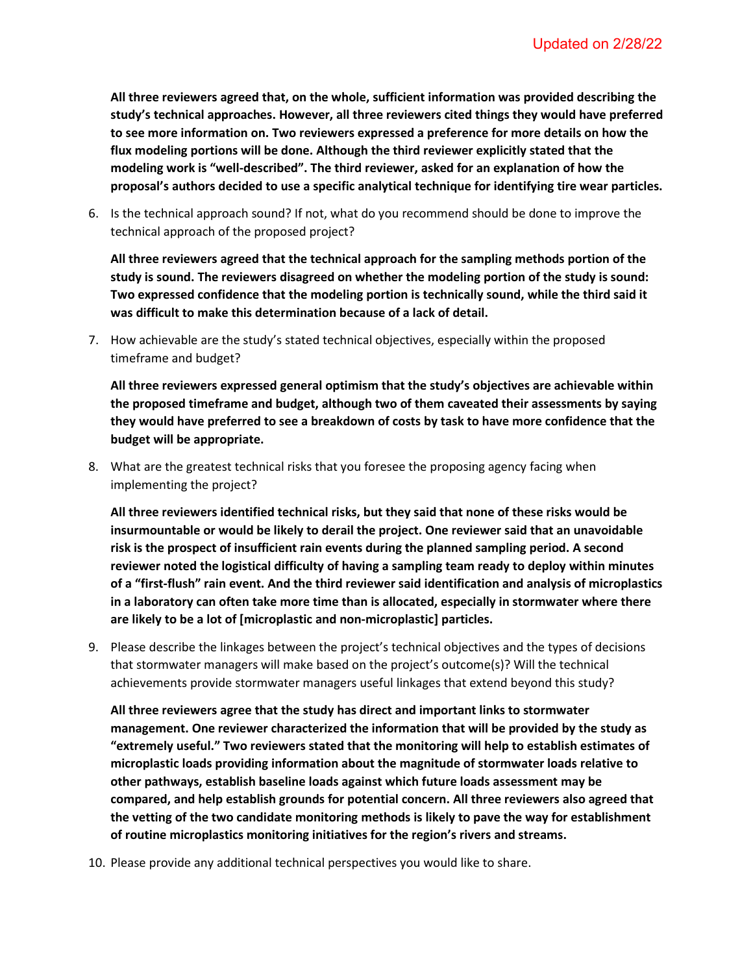**All three reviewers agreed that, on the whole, sufficient information was provided describing the study's technical approaches. However, all three reviewers cited things they would have preferred to see more information on. Two reviewers expressed a preference for more details on how the flux modeling portions will be done. Although the third reviewer explicitly stated that the modeling work is "well-described". The third reviewer, asked for an explanation of how the proposal's authors decided to use a specific analytical technique for identifying tire wear particles.**

6. Is the technical approach sound? If not, what do you recommend should be done to improve the technical approach of the proposed project?

**All three reviewers agreed that the technical approach for the sampling methods portion of the study is sound. The reviewers disagreed on whether the modeling portion of the study is sound: Two expressed confidence that the modeling portion is technically sound, while the third said it was difficult to make this determination because of a lack of detail.**

7. How achievable are the study's stated technical objectives, especially within the proposed timeframe and budget?

**All three reviewers expressed general optimism that the study's objectives are achievable within the proposed timeframe and budget, although two of them caveated their assessments by saying they would have preferred to see a breakdown of costs by task to have more confidence that the budget will be appropriate.**

8. What are the greatest technical risks that you foresee the proposing agency facing when implementing the project?

**All three reviewers identified technical risks, but they said that none of these risks would be insurmountable or would be likely to derail the project. One reviewer said that an unavoidable risk is the prospect of insufficient rain events during the planned sampling period. A second reviewer noted the logistical difficulty of having a sampling team ready to deploy within minutes of a "first-flush" rain event. And the third reviewer said identification and analysis of microplastics in a laboratory can often take more time than is allocated, especially in stormwater where there are likely to be a lot of [microplastic and non-microplastic] particles.**

9. Please describe the linkages between the project's technical objectives and the types of decisions that stormwater managers will make based on the project's outcome(s)? Will the technical achievements provide stormwater managers useful linkages that extend beyond this study?

**All three reviewers agree that the study has direct and important links to stormwater management. One reviewer characterized the information that will be provided by the study as "extremely useful." Two reviewers stated that the monitoring will help to establish estimates of microplastic loads providing information about the magnitude of stormwater loads relative to other pathways, establish baseline loads against which future loads assessment may be compared, and help establish grounds for potential concern. All three reviewers also agreed that the vetting of the two candidate monitoring methods is likely to pave the way for establishment of routine microplastics monitoring initiatives for the region's rivers and streams.** 

10. Please provide any additional technical perspectives you would like to share.